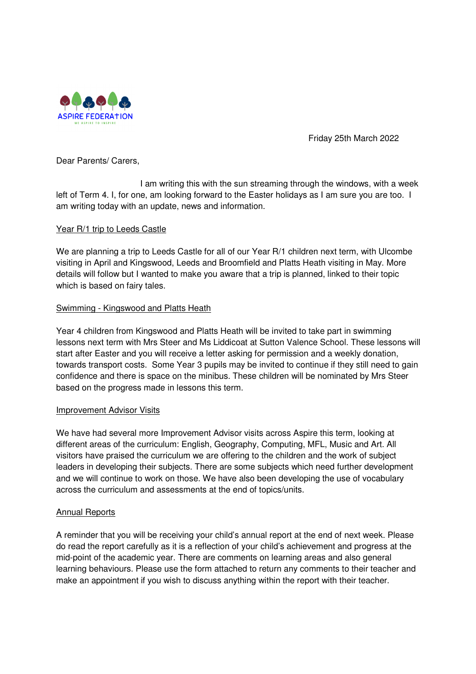

Friday 25th March 2022

Dear Parents/ Carers,

 I am writing this with the sun streaming through the windows, with a week left of Term 4. I, for one, am looking forward to the Easter holidays as I am sure you are too. I am writing today with an update, news and information.

### Year R/1 trip to Leeds Castle

We are planning a trip to Leeds Castle for all of our Year R/1 children next term, with Ulcombe visiting in April and Kingswood, Leeds and Broomfield and Platts Heath visiting in May. More details will follow but I wanted to make you aware that a trip is planned, linked to their topic which is based on fairy tales.

# Swimming - Kingswood and Platts Heath

Year 4 children from Kingswood and Platts Heath will be invited to take part in swimming lessons next term with Mrs Steer and Ms Liddicoat at Sutton Valence School. These lessons will start after Easter and you will receive a letter asking for permission and a weekly donation, towards transport costs. Some Year 3 pupils may be invited to continue if they still need to gain confidence and there is space on the minibus. These children will be nominated by Mrs Steer based on the progress made in lessons this term.

### Improvement Advisor Visits

We have had several more Improvement Advisor visits across Aspire this term, looking at different areas of the curriculum: English, Geography, Computing, MFL, Music and Art. All visitors have praised the curriculum we are offering to the children and the work of subject leaders in developing their subjects. There are some subjects which need further development and we will continue to work on those. We have also been developing the use of vocabulary across the curriculum and assessments at the end of topics/units.

### Annual Reports

A reminder that you will be receiving your child's annual report at the end of next week. Please do read the report carefully as it is a reflection of your child's achievement and progress at the mid-point of the academic year. There are comments on learning areas and also general learning behaviours. Please use the form attached to return any comments to their teacher and make an appointment if you wish to discuss anything within the report with their teacher.